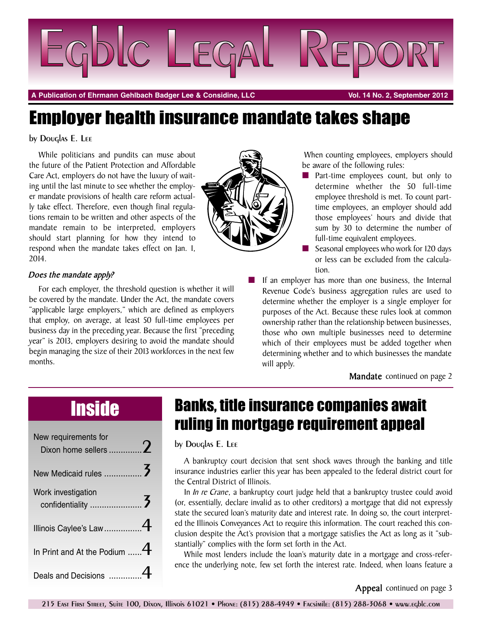

**A Publication of Ehrmann Gehlbach Badger Lee & Considine, LLC Vol. 14 No. 2, September 2012**

# Employer health insurance mandate takes shape

by Douglas E. Lee

While politicians and pundits can muse about the future of the Patient Protection and Affordable Care Act, employers do not have the luxury of waiting until the last minute to see whether the employer mandate provisions of health care reform actually take effect. Therefore, even though final regulations remain to be written and other aspects of the mandate remain to be interpreted, employers should start planning for how they intend to respond when the mandate takes effect on Jan. 1, 2014.

### *Does the mandate apply?*

For each employer, the threshold question is whether it will be covered by the mandate. Under the Act, the mandate covers "applicable large employers," which are defined as employers that employ, on average, at least 50 full-time employees per business day in the preceding year. Because the first "preceding year" is 2013, employers desiring to avoid the mandate should begin managing the size of their 2013 workforces in the next few months.

When counting employees, employers should be aware of the following rules:

- Part-time employees count, but only to determine whether the 50 full-time employee threshold is met. To count parttime employees, an employer should add those employees' hours and divide that sum by 30 to determine the number of full-time equivalent employees.
	- Seasonal employees who work for 120 days or less can be excluded from the calculation.
- If an employer has more than one business, the Internal Revenue Code's business aggregation rules are used to determine whether the employer is a single employer for purposes of the Act. Because these rules look at common ownership rather than the relationship between businesses, those who own multiple businesses need to determine which of their employees must be added together when determining whether and to which businesses the mandate will apply.

**Mandate** continued on page 2

| New requirements for            |  |
|---------------------------------|--|
|                                 |  |
| Work investigation              |  |
| Illinois Caylee's Law 4         |  |
| In Print and At the Podium $$ 4 |  |
| Deals and Decisions             |  |

# Inside Banks, title insurance companies await ruling in mortgage requirement appeal

by Douglas E. Lee

A bankruptcy court decision that sent shock waves through the banking and title insurance industries earlier this year has been appealed to the federal district court for the Central District of Illinois.

In *In re Crane*, a bankruptcy court judge held that a bankruptcy trustee could avoid (or, essentially, declare invalid as to other creditors) a mortgage that did not expressly state the secured loan's maturity date and interest rate. In doing so, the court interpreted the Illinois Conveyances Act to require this information. The court reached this conclusion despite the Act's provision that a mortgage satisfies the Act as long as it "substantially" complies with the form set forth in the Act.

While most lenders include the loan's maturity date in a mortgage and cross-reference the underlying note, few set forth the interest rate. Indeed, when loans feature a

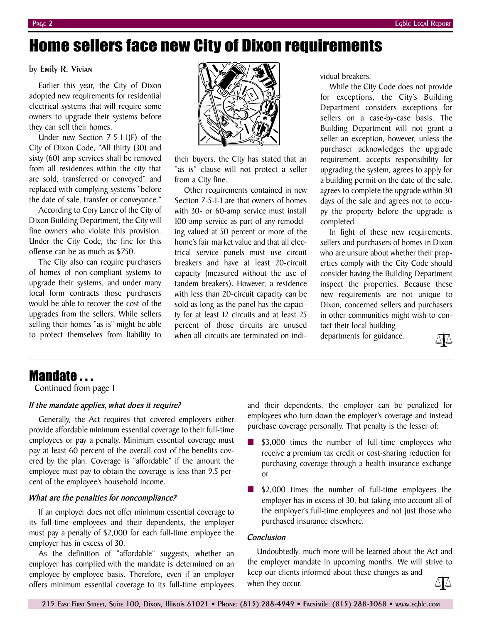# Home sellers face new City of Dixon requirements

by Emily R. Vivian

Earlier this year, the City of Dixon adopted new requirements for residential electrical systems that will require some owners to upgrade their systems before they can sell their homes.

Under new Section 7-5-1-1(F) of the City of Dixon Code, "All thirty (30) and sixty (60) amp services shall be removed from all residences within the city that are sold, transferred or conveyed" and replaced with complying systems "before the date of sale, transfer or conveyance."

According to Cory Lance of the City of Dixon Building Department, the City will fine owners who violate this provision. Under the City Code, the fine for this offense can be as much as \$750.

The City also can require purchasers of homes of non-compliant systems to upgrade their systems, and under many local form contracts those purchasers would be able to recover the cost of the upgrades from the sellers. While sellers selling their homes "as is" might be able to protect themselves from liability to



their buyers, the City has stated that an "as is" clause will not protect a seller from a City fine.

Other requirements contained in new Section 7-5-1-1 are that owners of homes with 30- or 60-amp service must install 100-amp service as part of any remodeling valued at 50 percent or more of the home's fair market value and that all electrical service panels must use circuit breakers and have at least 20-circuit capacity (measured without the use of tandem breakers). However, a residence with less than 20-circuit capacity can be sold as long as the panel has the capacity for at least 12 circuits and at least 25 percent of those circuits are unused when all circuits are terminated on individual breakers.

While the City Code does not provide for exceptions, the City's Building Department considers exceptions for sellers on a case-by-case basis. The Building Department will not grant a seller an exception, however, unless the purchaser acknowledges the upgrade requirement, accepts responsibility for upgrading the system, agrees to apply for a building permit on the date of the sale, agrees to complete the upgrade within 30 days of the sale and agrees not to occupy the property before the upgrade is completed.

In light of these new requirements, sellers and purchasers of homes in Dixon who are unsure about whether their properties comply with the City Code should consider having the Building Department inspect the properties. Because these new requirements are not unique to Dixon, concerned sellers and purchasers in other communities might wish to contact their local building

departments for guidance.



### Mandate . . .

Continued from page 1

### *If the mandate applies, what does it require?*

Generally, the Act requires that covered employers either provide affordable minimum essential coverage to their full-time employees or pay a penalty. Minimum essential coverage must pay at least 60 percent of the overall cost of the benefits covered by the plan. Coverage is "affordable" if the amount the employee must pay to obtain the coverage is less than 9.5 percent of the employee's household income.

#### *What are the penalties for noncompliance?*

If an employer does not offer minimum essential coverage to its full-time employees and their dependents, the employer must pay a penalty of \$2,000 for each full-time employee the employer has in excess of 30.

As the definition of "affordable" suggests, whether an employer has complied with the mandate is determined on an employee-by-employee basis. Therefore, even if an employer offers minimum essential coverage to its full-time employees

and their dependents, the employer can be penalized for employees who turn down the employer's coverage and instead purchase coverage personally. That penalty is the lesser of:

- \$3,000 times the number of full-time employees who receive a premium tax credit or cost-sharing reduction for purchasing coverage through a health insurance exchange or
- \$2,000 times the number of full-time employees the employer has in excess of 30, but taking into account all of the employer's full-time employees and not just those who purchased insurance elsewhere.

#### *Conclusion*

Undoubtedly, much more will be learned about the Act and the employer mandate in upcoming months. We will strive to keep our clients informed about these changes as and when they occur.

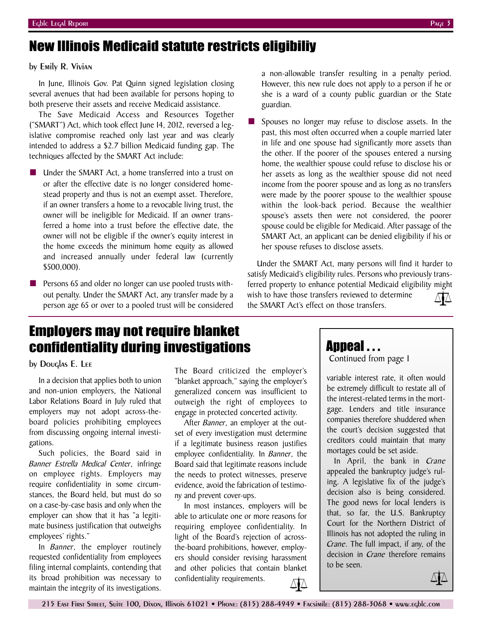## New Illinois Medicaid statute restricts eligibiliy

### by Emily R. Vivian

In June, Illinois Gov. Pat Quinn signed legislation closing several avenues that had been available for persons hoping to both preserve their assets and receive Medicaid assistance.

The Save Medicaid Access and Resources Together ("SMART") Act, which took effect June 14, 2012, reversed a legislative compromise reached only last year and was clearly intended to address a \$2.7 billion Medicaid funding gap. The techniques affected by the SMART Act include:

- Under the SMART Act, a home transferred into a trust on or after the effective date is no longer considered homestead property and thus is not an exempt asset. Therefore, if an owner transfers a home to a revocable living trust, the owner will be ineligible for Medicaid. If an owner transferred a home into a trust before the effective date, the owner will not be eligible if the owner's equity interest in the home exceeds the minimum home equity as allowed and increased annually under federal law (currently \$500,000).
- Persons 65 and older no longer can use pooled trusts without penalty. Under the SMART Act, any transfer made by a person age 65 or over to a pooled trust will be considered

a non-allowable transfer resulting in a penalty period. However, this new rule does not apply to a person if he or she is a ward of a county public guardian or the State guardian.

**■** Spouses no longer may refuse to disclose assets. In the past, this most often occurred when a couple married later in life and one spouse had significantly more assets than the other. If the poorer of the spouses entered a nursing home, the wealthier spouse could refuse to disclose his or her assets as long as the wealthier spouse did not need income from the poorer spouse and as long as no transfers were made by the poorer spouse to the wealthier spouse within the look-back period. Because the wealthier spouse's assets then were not considered, the poorer spouse could be eligible for Medicaid. After passage of the SMART Act, an applicant can be denied eligibility if his or her spouse refuses to disclose assets.

Under the SMART Act, many persons will find it harder to satisfy Medicaid's eligibility rules. Persons who previously transferred property to enhance potential Medicaid eligibility might wish to have those transfers reviewed to determine the SMART Act's effect on those transfers.

### Employers may not require blanket confidentiality during investigations

### by Douglas E. Lee

In a decision that applies both to union and non-union employers, the National Labor Relations Board in July ruled that employers may not adopt across-theboard policies prohibiting employees from discussing ongoing internal investigations.

Such policies, the Board said in *Banner Estrella Medical Center*, infringe on employee rights. Employers may require confidentiality in some circumstances, the Board held, but must do so on a case-by-case basis and only when the employer can show that it has "a legitimate business justification that outweighs employees' rights."

In *Banner*, the employer routinely requested confidentiality from employees filing internal complaints, contending that its broad prohibition was necessary to maintain the integrity of its investigations.

The Board criticized the employer's "blanket approach," saying the employer's generalized concern was insufficient to outweigh the right of employees to engage in protected concerted activity.

After *Banner*, an employer at the outset of every investigation must determine if a legitimate business reason justifies employee confidentiality. In *Banner*, the Board said that legitimate reasons include the needs to protect witnesses, preserve evidence, avoid the fabrication of testimony and prevent cover-ups.

In most instances, employers will be able to articulate one or more reasons for requiring employee confidentiality. In light of the Board's rejection of acrossthe-board prohibitions, however, employers should consider revising harassment and other policies that contain blanket confidentiality requirements.

### Appeal . . .

Continued from page 1

variable interest rate, it often would be extremely difficult to restate all of the interest-related terms in the mortgage. Lenders and title insurance companies therefore shuddered when the court's decision suggested that creditors could maintain that many mortages could be set aside.

In April, the bank in *Crane* appealed the bankruptcy judge's ruling. A legislative fix of the judge's decision also is being considered. The good news for local lenders is that, so far, the U.S. Bankruptcy Court for the Northern District of Illinois has not adopted the ruling in *Crane*. The full impact, if any, of the decision in *Crane* therefore remains to be seen.